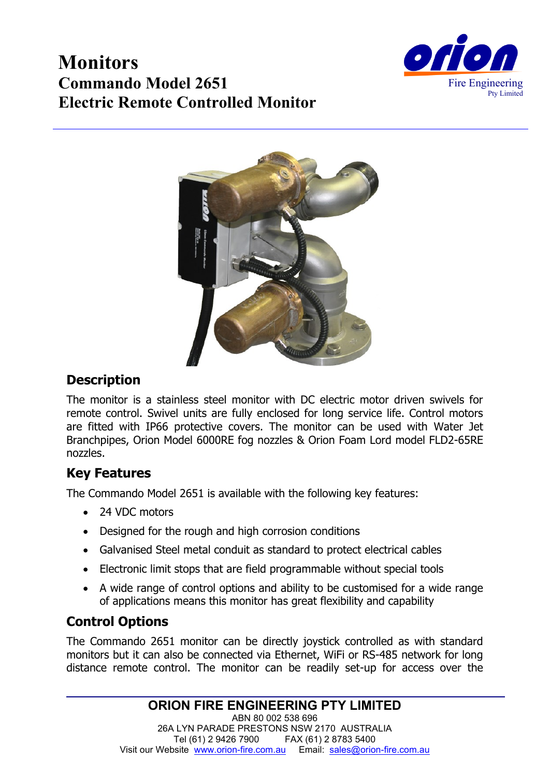# **Monitors Commando Model 2651 Electric Remote Controlled Monitor**





# **Description**

The monitor is a stainless steel monitor with DC electric motor driven swivels for remote control. Swivel units are fully enclosed for long service life. Control motors are fitted with IP66 protective covers. The monitor can be used with Water Jet Branchpipes, Orion Model 6000RE fog nozzles & Orion Foam Lord model FLD2-65RE nozzles.

# **Key Features**

The Commando Model 2651 is available with the following key features:

- 24 VDC motors
- Designed for the rough and high corrosion conditions
- Galvanised Steel metal conduit as standard to protect electrical cables
- Electronic limit stops that are field programmable without special tools
- A wide range of control options and ability to be customised for a wide range of applications means this monitor has great flexibility and capability

# **Control Options**

The Commando 2651 monitor can be directly joystick controlled as with standard monitors but it can also be connected via Ethernet, WiFi or RS-485 network for long distance remote control. The monitor can be readily set-up for access over the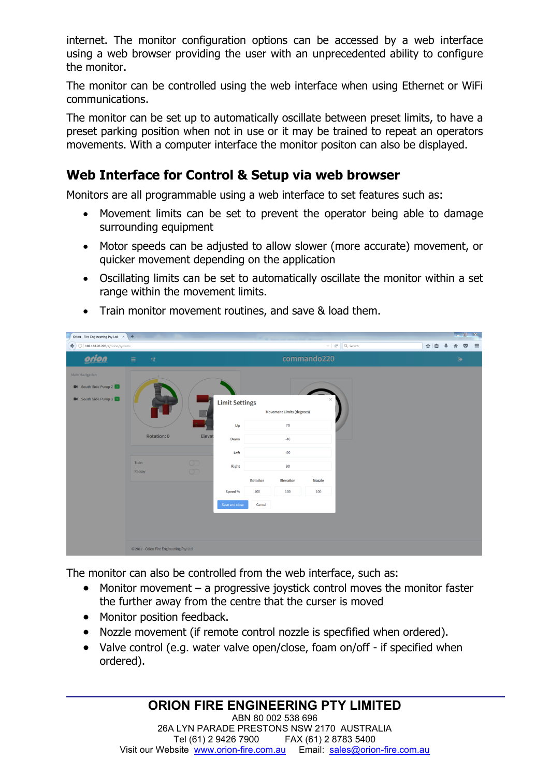internet. The monitor configuration options can be accessed by a web interface using a web browser providing the user with an unprecedented ability to configure the monitor.

The monitor can be controlled using the web interface when using Ethernet or WiFi communications.

The monitor can be set up to automatically oscillate between preset limits, to have a preset parking position when not in use or it may be trained to repeat an operators movements. With a computer interface the monitor positon can also be displayed.

### **Web Interface for Control & Setup via web browser**

Monitors are all programmable using a web interface to set features such as:

- Movement limits can be set to prevent the operator being able to damage surrounding equipment
- Motor speeds can be adjusted to allow slower (more accurate) movement, or quicker movement depending on the application
- Oscillating limits can be set to automatically oscillate the monitor within a set range within the movement limits.



• Train monitor movement routines, and save & load them.

The monitor can also be controlled from the web interface, such as:

- Monitor movement a progressive joystick control moves the monitor faster the further away from the centre that the curser is moved
- Monitor position feedback.
- Nozzle movement (if remote control nozzle is specfified when ordered).
- Valve control (e.g. water valve open/close, foam on/off if specified when ordered).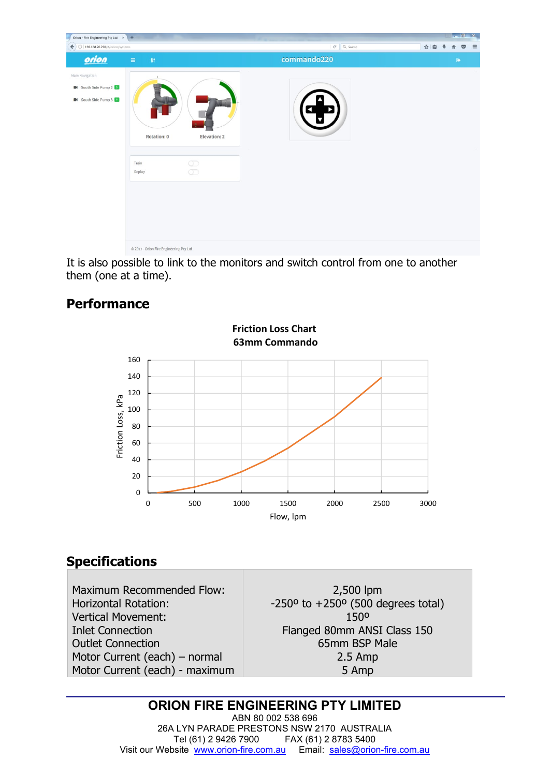

It is also possible to link to the monitors and switch control from one to another them (one at a time).

### **Performance**



# **Specifications**

Maximum Recommended Flow: Horizontal Rotation: Vertical Movement: Inlet Connection Outlet Connection Motor Current (each) – normal Motor Current (each) - maximum

2,500 lpm  $-250^\circ$  to  $+250^\circ$  (500 degrees total) 150º Flanged 80mm ANSI Class 150 65mm BSP Male 2.5 Amp 5 Amp

#### **ORION FIRE ENGINEERING PTY LIMITED**